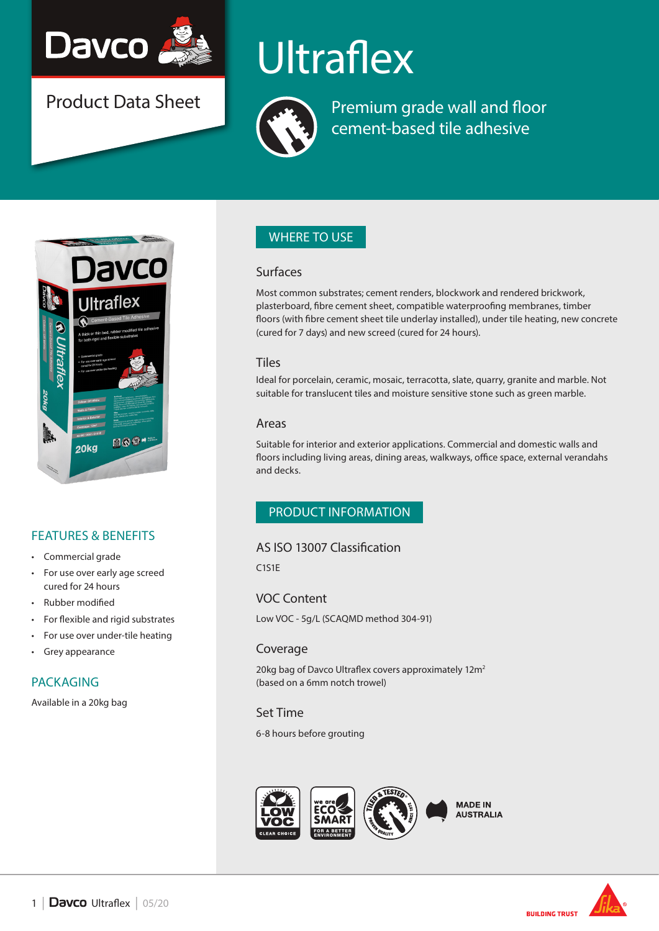

Product Data Sheet

# **Ultraflex**



Premium grade wall and floor cement-based tile adhesive



## FEATURES & BENEFITS

- Commercial grade
- For use over early age screed cured for 24 hours
- Rubber modified
- For flexible and rigid substrates
- For use over under-tile heating
- Grey appearance

### PACKAGING

Available in a 20kg bag

## WHERE TO USE

#### Surfaces

Most common substrates; cement renders, blockwork and rendered brickwork, plasterboard, fibre cement sheet, compatible waterproofing membranes, timber floors (with fibre cement sheet tile underlay installed), under tile heating, new concrete (cured for 7 days) and new screed (cured for 24 hours).

#### **Tiles**

Ideal for porcelain, ceramic, mosaic, terracotta, slate, quarry, granite and marble. Not suitable for translucent tiles and moisture sensitive stone such as green marble.

#### Areas

Suitable for interior and exterior applications. Commercial and domestic walls and floors including living areas, dining areas, walkways, office space, external verandahs and decks.

## PRODUCT INFORMATION

#### AS ISO 13007 Classification

C1S1E

VOC Content

Low VOC - 5g/L (SCAQMD method 304-91)

### Coverage

20kg bag of Davco Ultraflex covers approximately 12m<sup>2</sup> (based on a 6mm notch trowel)

#### Set Time

6-8 hours before grouting





**BUILDING TRUST**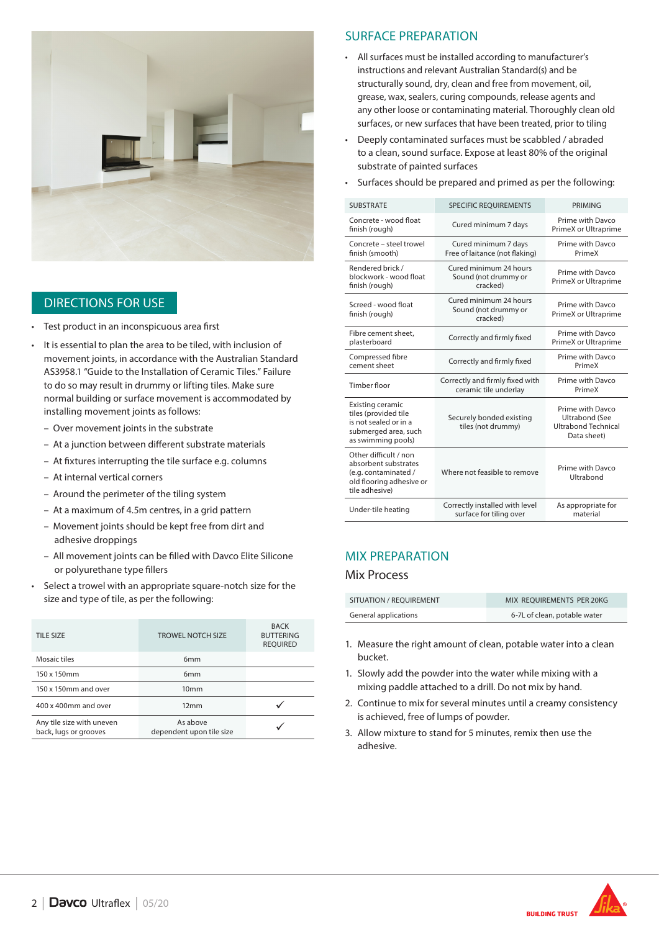

### DIRECTIONS FOR USE

- Test product in an inconspicuous area first
- It is essential to plan the area to be tiled, with inclusion of movement joints, in accordance with the Australian Standard AS3958.1 "Guide to the Installation of Ceramic Tiles." Failure to do so may result in drummy or lifting tiles. Make sure normal building or surface movement is accommodated by installing movement joints as follows:
	- Over movement joints in the substrate
	- At a junction between different substrate materials
	- At fixtures interrupting the tile surface e.g. columns
	- At internal vertical corners
	- Around the perimeter of the tiling system
	- At a maximum of 4.5m centres, in a grid pattern
	- Movement joints should be kept free from dirt and adhesive droppings
	- All movement joints can be filled with Davco Elite Silicone or polyurethane type fillers
- Select a trowel with an appropriate square-notch size for the size and type of tile, as per the following:

| <b>TILE SIZE</b>                                   | <b>TROWEL NOTCH SIZE</b>             | <b>BACK</b><br><b>BUTTERING</b><br><b>REQUIRED</b> |
|----------------------------------------------------|--------------------------------------|----------------------------------------------------|
| Mosaic tiles                                       | 6 <sub>mm</sub>                      |                                                    |
| 150 x 150mm                                        | 6 <sub>mm</sub>                      |                                                    |
| 150 x 150mm and over                               | 10 <sub>mm</sub>                     |                                                    |
| 400 x 400mm and over                               | 12mm                                 |                                                    |
| Any tile size with uneven<br>back, lugs or grooves | As above<br>dependent upon tile size |                                                    |

#### SURFACE PREPARATION

- All surfaces must be installed according to manufacturer's instructions and relevant Australian Standard(s) and be structurally sound, dry, clean and free from movement, oil, grease, wax, sealers, curing compounds, release agents and any other loose or contaminating material. Thoroughly clean old surfaces, or new surfaces that have been treated, prior to tiling
- Deeply contaminated surfaces must be scabbled / abraded to a clean, sound surface. Expose at least 80% of the original substrate of painted surfaces
- Surfaces should be prepared and primed as per the following:

| <b>SUBSTRATE</b>                                                                                                    | <b>SPECIFIC REQUIREMENTS</b>                               | <b>PRIMING</b>                                                                         |
|---------------------------------------------------------------------------------------------------------------------|------------------------------------------------------------|----------------------------------------------------------------------------------------|
| Concrete - wood float<br>finish (rough)                                                                             | Cured minimum 7 days                                       | Prime with Davco<br>PrimeX or Ultraprime                                               |
| Concrete - steel trowel<br>finish (smooth)                                                                          | Cured minimum 7 days<br>Free of laitance (not flaking)     | Prime with Davco<br>PrimeX                                                             |
| Rendered brick /<br>blockwork - wood float<br>finish (rough)                                                        | Cured minimum 24 hours<br>Sound (not drummy or<br>cracked) | Prime with Davco<br>PrimeX or Ultraprime                                               |
| Screed - wood float<br>finish (rough)                                                                               | Cured minimum 24 hours<br>Sound (not drummy or<br>cracked) | Prime with Davco<br>PrimeX or Ultraprime                                               |
| Fibre cement sheet.<br>plasterboard                                                                                 | Correctly and firmly fixed                                 | Prime with Davco<br>PrimeX or Ultraprime                                               |
| Compressed fibre<br>cement sheet                                                                                    | Correctly and firmly fixed                                 | Prime with Davco<br>PrimeX                                                             |
| <b>Timber floor</b>                                                                                                 | Correctly and firmly fixed with<br>ceramic tile underlay   | Prime with Davco<br>PrimeX                                                             |
| Existing ceramic<br>tiles (provided tile<br>is not sealed or in a<br>submerged area, such<br>as swimming pools)     | Securely bonded existing<br>tiles (not drummy)             | Prime with Davco<br><b>Ultrabond (See</b><br><b>Ultrabond Technical</b><br>Data sheet) |
| Other difficult / non<br>absorbent substrates<br>(e.g. contaminated /<br>old flooring adhesive or<br>tile adhesive) | Where not feasible to remove                               | Prime with Davco<br>Ultrabond                                                          |
| Under-tile heating                                                                                                  | Correctly installed with level<br>surface for tiling over  | As appropriate for<br>material                                                         |

#### MIX PREPARATION

#### Mix Process

| SITUATION / REOUIREMENT | MIX REOUIREMENTS PER 20KG    |
|-------------------------|------------------------------|
| General applications    | 6-7L of clean, potable water |

- 1. Measure the right amount of clean, potable water into a clean bucket.
- 1. Slowly add the powder into the water while mixing with a mixing paddle attached to a drill. Do not mix by hand.
- 2. Continue to mix for several minutes until a creamy consistency is achieved, free of lumps of powder.
- 3. Allow mixture to stand for 5 minutes, remix then use the adhesive.